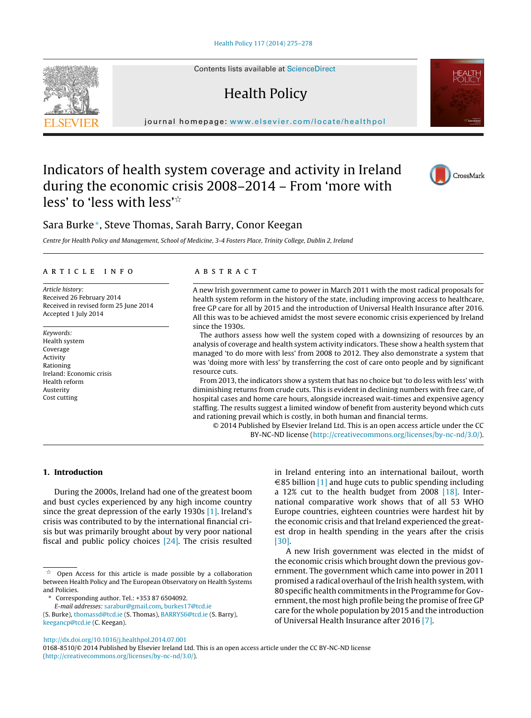Contents lists available at [ScienceDirect](http://www.sciencedirect.com/science/journal/01688510)

# Health Policy

journal homepage: [www.elsevier.com/locate/healthpol](http://www.elsevier.com/locate/healthpol)

## Indicators of health system coverage and activity in Ireland during the economic crisis 2008–2014 – From 'more with less' to 'less with less' $\mathrm{\dot{\check{}}}$

### Sara Burke∗, Steve Thomas, Sarah Barry, Conor Keegan

Centre for Health Policy and Management, School of Medicine, 3-4 Fosters Place, Trinity College, Dublin 2, Ireland

#### ARTICLE INFO

Article history: Received 26 February 2014 Received in revised form 25 June 2014 Accepted 1 July 2014

Keywords: Health system Coverage **Activity** Rationing Ireland: Economic crisis Health reform Austerity Cost cutting

#### a b s t r a c t

A new Irish government came to power in March 2011 with the most radical proposals for health system reform in the history of the state, including improving access to healthcare, free GP care for all by 2015 and the introduction of Universal Health Insurance after 2016. All this was to be achieved amidst the most severe economic crisis experienced by Ireland since the 1930s.

The authors assess how well the system coped with a downsizing of resources by an analysis of coverage and health system activity indicators. These show a health system that managed 'to do more with less' from 2008 to 2012. They also demonstrate a system that was 'doing more with less' by transferring the cost of care onto people and by significant resource cuts.

From 2013, the indicators show a system that has no choice but 'to do less with less' with diminishing returns from crude cuts. This is evident in declining numbers with free care, of hospital cases and home care hours, alongside increased wait-times and expensive agency staffing. The results suggest a limited window of benefit from austerity beyond which cuts and rationing prevail which is costly, in both human and financial terms.

© 2014 Published by Elsevier Ireland Ltd. This is an open access article under the CC BY-NC-ND license ([http://creativecommons.org/licenses/by-nc-nd/3.0/\)](http://creativecommons.org/licenses/by-nc-nd/3.0/).

#### **1. Introduction**

During the 2000s, Ireland had one of the greatest boom and bust cycles experienced by any high income country since the great depression of the early 1930s [\[1\].](#page-3-0) Ireland's crisis was contributed to by the international financial crisis but was primarily brought about by very poor national fiscal and public policy choices [\[24\].](#page-3-0) The crisis resulted

∗ Corresponding author. Tel.: +353 87 6504092.

E-mail addresses: [sarabur@gmail.com,](mailto:sarabur@gmail.com) [burkes17@tcd.ie](mailto:burkes17@tcd.ie) (S. Burke), [thomassd@tcd.ie](mailto:thomassd@tcd.ie) (S. Thomas), [BARRYS6@tcd.ie](mailto:BARRYS6@tcd.ie) (S. Barry), in Ireland entering into an international bailout, worth  $\in$ 85 billion [\[1\]](#page-3-0) and huge cuts to public spending including a 12% cut to the health budget from 2008 [\[18\].](#page-3-0) International comparative work shows that of all 53 WHO Europe countries, eighteen countries were hardest hit by the economic crisis and that Ireland experienced the greatest drop in health spending in the years after the crisis [\[30\].](#page-3-0)

A new Irish government was elected in the midst of the economic crisis which brought down the previous government. The government which came into power in 2011 promised a radical overhaul of the Irish health system, with 80 specific health commitments in the Programme for Government, the most high profile being the promise of free GP care for the whole population by 2015 and the introduction of Universal Health Insurance after 2016 [\[7\].](#page-3-0)

[http://dx.doi.org/10.1016/j.healthpol.2014.07.001](dx.doi.org/10.1016/j.healthpol.2014.07.001)

[keegancp@tcd.ie](mailto:keegancp@tcd.ie) (C. Keegan).





CrossMark

t. Open Access for this article is made possible by a collaboration between Health Policy and The European Observatory on Health Systems and Policies.

<sup>0168-8510/©</sup> 2014 Published by Elsevier Ireland Ltd. This is an open access article under the CC BY-NC-ND license [\(http://creativecommons.org/licenses/by-nc-nd/3.0/\)](http://creativecommons.org/licenses/by-nc-nd/3.0/).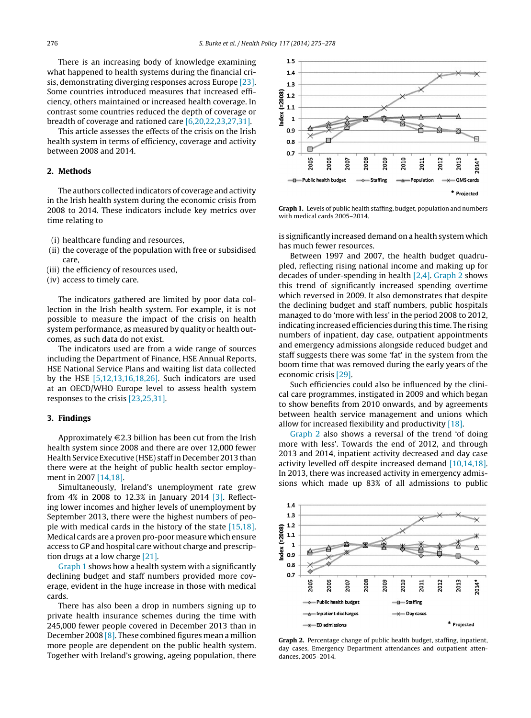There is an increasing body of knowledge examining what happened to health systems during the financial crisis, demonstrating diverging responses across Europe [\[23\].](#page-3-0) Some countries introduced measures that increased efficiency, others maintained or increased health coverage. In contrast some countries reduced the depth of coverage or breadth of coverage and rationed care [\[6,20,22,23,27,31\].](#page-3-0)

This article assesses the effects of the crisis on the Irish health system in terms of efficiency, coverage and activity between 2008 and 2014.

#### **2. Methods**

The authors collected indicators of coverage and activity in the Irish health system during the economic crisis from 2008 to 2014. These indicators include key metrics over time relating to

- (i) healthcare funding and resources,
- (ii) the coverage of the population with free or subsidised care,
- (iii) the efficiency of resources used,
- (iv) access to timely care.

The indicators gathered are limited by poor data collection in the Irish health system. For example, it is not possible to measure the impact of the crisis on health system performance, as measured by quality or health outcomes, as such data do not exist.

The indicators used are from a wide range of sources including the Department of Finance, HSE Annual Reports, HSE National Service Plans and waiting list data collected by the HSE [\[5,12,13,16,18,26\].](#page-3-0) Such indicators are used at an OECD/WHO Europe level to assess health system responses to the crisis [\[23,25,31\].](#page-3-0)

#### **3. Findings**

Approximately  $\in$  2.3 billion has been cut from the Irish health system since 2008 and there are over 12,000 fewer Health Service Executive (HSE) staffin December 2013 than there were at the height of public health sector employment in 2007 [\[14,18\].](#page-3-0)

Simultaneously, Ireland's unemployment rate grew from 4% in 2008 to 12.3% in January 2014 [\[3\].](#page-3-0) Reflecting lower incomes and higher levels of unemployment by September 2013, there were the highest numbers of people with medical cards in the history of the state [\[15,18\].](#page-3-0) Medical cards are a proven pro-poor measure which ensure access to GP and hospital care without charge and prescription drugs at a low charge [\[21\].](#page-3-0)

Graph 1 shows how a health system with a significantly declining budget and staff numbers provided more coverage, evident in the huge increase in those with medical cards.

There has also been a drop in numbers signing up to private health insurance schemes during the time with 245,000 fewer people covered in December 2013 than in December 2008 [\[8\].](#page-3-0) These combined figures mean a million more people are dependent on the public health system. Together with Ireland's growing, ageing population, there



**Graph 1.** Levels of public health staffing, budget, population and numbers with medical cards 2005–2014.

is significantly increased demand on a health system which has much fewer resources.

Between 1997 and 2007, the health budget quadrupled, reflecting rising national income and making up for decades of under-spending in health [\[2,4\].](#page-3-0) Graph 2 shows this trend of significantly increased spending overtime which reversed in 2009. It also demonstrates that despite the declining budget and staff numbers, public hospitals managed to do 'more with less' in the period 2008 to 2012, indicating increased efficiencies during this time. The rising numbers of inpatient, day case, outpatient appointments and emergency admissions alongside reduced budget and staff suggests there was some 'fat' in the system from the boom time that was removed during the early years of the economic crisis [\[29\].](#page-3-0)

Such efficiencies could also be influenced by the clinical care programmes, instigated in 2009 and which began to show benefits from 2010 onwards, and by agreements between health service management and unions which allow for increased flexibility and productivity [\[18\].](#page-3-0)

Graph 2 also shows a reversal of the trend 'of doing more with less'. Towards the end of 2012, and through 2013 and 2014, inpatient activity decreased and day case activity levelled off despite increased demand [\[10,14,18\].](#page-3-0) In 2013, there was increased activity in emergency admissions which made up 83% of all admissions to public



**Graph 2.** Percentage change of public health budget, staffing, inpatient, day cases, Emergency Department attendances and outpatient attendances, 2005–2014.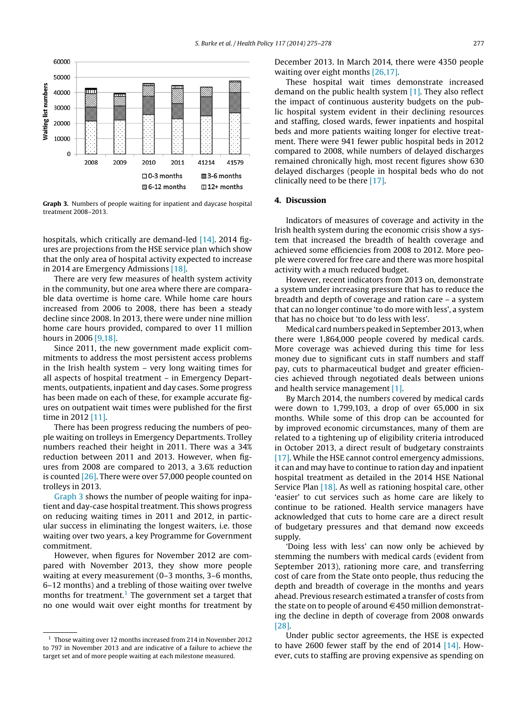

**Graph 3.** Numbers of people waiting for inpatient and daycase hospital treatment 2008–2013.

hospitals, which critically are demand-led [\[14\].](#page-3-0) 2014 figures are projections from the HSE service plan which show that the only area of hospital activity expected to increase in 2014 are Emergency Admissions [\[18\].](#page-3-0)

There are very few measures of health system activity in the community, but one area where there are comparable data overtime is home care. While home care hours increased from 2006 to 2008, there has been a steady decline since 2008. In 2013, there were under nine million home care hours provided, compared to over 11 million hours in 2006 [\[9,18\].](#page-3-0)

Since 2011, the new government made explicit commitments to address the most persistent access problems in the Irish health system – very long waiting times for all aspects of hospital treatment – in Emergency Departments, outpatients, inpatient and day cases. Some progress has been made on each of these, for example accurate figures on outpatient wait times were published for the first time in 2012 [\[11\].](#page-3-0)

There has been progress reducing the numbers of people waiting on trolleys in Emergency Departments. Trolley numbers reached their height in 2011. There was a 34% reduction between 2011 and 2013. However, when figures from 2008 are compared to 2013, a 3.6% reduction is counted [\[26\].](#page-3-0) There were over 57,000 people counted on trolleys in 2013.

Graph 3 shows the number of people waiting for inpatient and day-case hospital treatment. This shows progress on reducing waiting times in 2011 and 2012, in particular success in eliminating the longest waiters, i.e. those waiting over two years, a key Programme for Government commitment.

However, when figures for November 2012 are compared with November 2013, they show more people waiting at every measurement (0–3 months, 3–6 months, 6–12 months) and a trebling of those waiting over twelve months for treatment.<sup>1</sup> The government set a target that no one would wait over eight months for treatment by December 2013. In March 2014, there were 4350 people waiting over eight months [\[26,17\].](#page-3-0)

These hospital wait times demonstrate increased demand on the public health system [\[1\].](#page-3-0) They also reflect the impact of continuous austerity budgets on the public hospital system evident in their declining resources and staffing, closed wards, fewer inpatients and hospital beds and more patients waiting longer for elective treatment. There were 941 fewer public hospital beds in 2012 compared to 2008, while numbers of delayed discharges remained chronically high, most recent figures show 630 delayed discharges (people in hospital beds who do not clinically need to be there [\[17\].](#page-3-0)

#### **4. Discussion**

Indicators of measures of coverage and activity in the Irish health system during the economic crisis show a system that increased the breadth of health coverage and achieved some efficiencies from 2008 to 2012. More people were covered for free care and there was more hospital activity with a much reduced budget.

However, recent indicators from 2013 on, demonstrate a system under increasing pressure that has to reduce the breadth and depth of coverage and ration care – a system that can no longer continue 'to do more with less', a system that has no choice but 'to do less with less'.

Medical card numbers peaked in September 2013, when there were 1,864,000 people covered by medical cards. More coverage was achieved during this time for less money due to significant cuts in staff numbers and staff pay, cuts to pharmaceutical budget and greater efficiencies achieved through negotiated deals between unions and health service management [\[1\].](#page-3-0)

By March 2014, the numbers covered by medical cards were down to 1,799,103, a drop of over 65,000 in six months. While some of this drop can be accounted for by improved economic circumstances, many of them are related to a tightening up of eligibility criteria introduced in October 2013, a direct result of budgetary constraints [\[17\].](#page-3-0) While the HSE cannot control emergency admissions, it can and may have to continue to ration day and inpatient hospital treatment as detailed in the 2014 HSE National Service Plan [\[18\].](#page-3-0) As well as rationing hospital care, other 'easier' to cut services such as home care are likely to continue to be rationed. Health service managers have acknowledged that cuts to home care are a direct result of budgetary pressures and that demand now exceeds supply.

'Doing less with less' can now only be achieved by stemming the numbers with medical cards (evident from September 2013), rationing more care, and transferring cost of care from the State onto people, thus reducing the depth and breadth of coverage in the months and years ahead. Previous research estimated a transfer of costs from the state on to people of around  $\in$  450 million demonstrating the decline in depth of coverage from 2008 onwards [\[28\].](#page-3-0)

Under public sector agreements, the HSE is expected to have 2600 fewer staff by the end of 2014  $[14]$ . However, cuts to staffing are proving expensive as spending on

<sup>1</sup> Those waiting over 12 months increased from 214 in November 2012 to 797 in November 2013 and are indicative of a failure to achieve the target set and of more people waiting at each milestone measured.